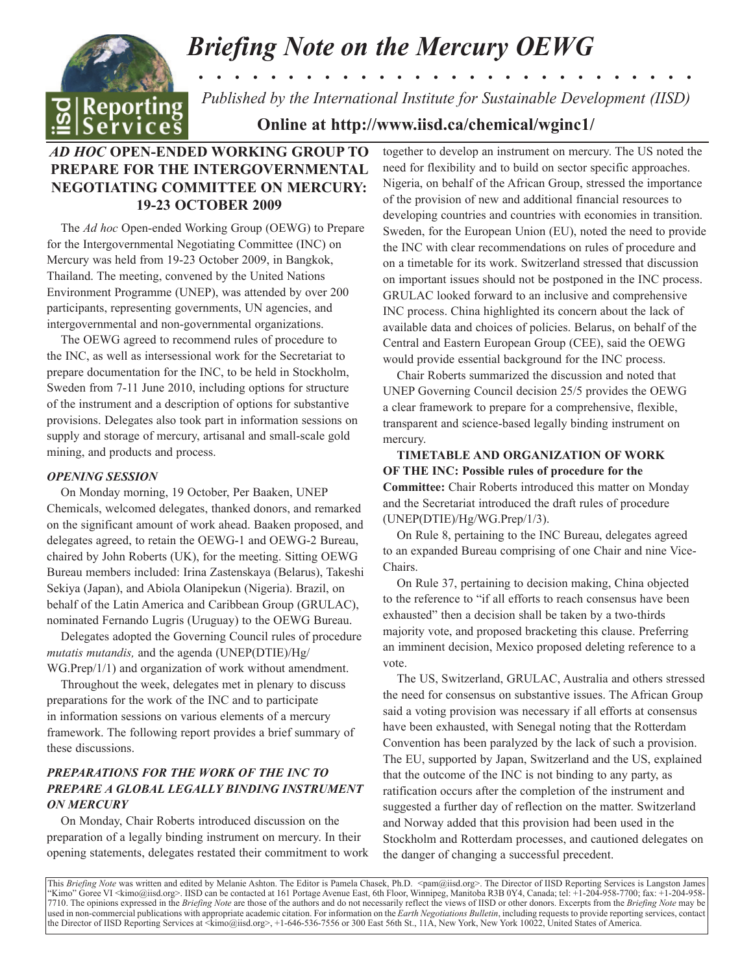# *Briefing Note on the Mercury OEWG . . . . . . . . . . . . . . . . . . . . . . . . . . . .*



*Published by the International Institute for Sustainable Development (IISD)*

**Online at http://www.iisd.ca/chemical/wginc1/**

# *AD HOC* **OPEN-ENDED WORKING GROUP TO PREPARE FOR THE INTERGOVERNMENTAL NEGOTIATING COMMITTEE ON MERCURY: 19-23 OCTOBER 2009**

The *Ad hoc* Open-ended Working Group (OEWG) to Prepare for the Intergovernmental Negotiating Committee (INC) on Mercury was held from 19-23 October 2009, in Bangkok, Thailand. The meeting, convened by the United Nations Environment Programme (UNEP), was attended by over 200 participants, representing governments, UN agencies, and intergovernmental and non-governmental organizations.

The OEWG agreed to recommend rules of procedure to the INC, as well as intersessional work for the Secretariat to prepare documentation for the INC, to be held in Stockholm, Sweden from 7-11 June 2010, including options for structure of the instrument and a description of options for substantive provisions. Delegates also took part in information sessions on supply and storage of mercury, artisanal and small-scale gold mining, and products and process.

### *OPENING SESSION*

On Monday morning, 19 October, Per Baaken, UNEP Chemicals, welcomed delegates, thanked donors, and remarked on the significant amount of work ahead. Baaken proposed, and delegates agreed, to retain the OEWG-1 and OEWG-2 Bureau, chaired by John Roberts (UK), for the meeting. Sitting OEWG Bureau members included: Irina Zastenskaya (Belarus), Takeshi Sekiya (Japan), and Abiola Olanipekun (Nigeria). Brazil, on behalf of the Latin America and Caribbean Group (GRULAC), nominated Fernando Lugris (Uruguay) to the OEWG Bureau.

Delegates adopted the Governing Council rules of procedure *mutatis mutandis,* and the agenda (UNEP(DTIE)/Hg/ WG.Prep/1/1) and organization of work without amendment.

Throughout the week, delegates met in plenary to discuss preparations for the work of the INC and to participate in information sessions on various elements of a mercury framework. The following report provides a brief summary of these discussions.

## *PREPARATIONS FOR THE WORK OF THE INC TO PREPARE A GLOBAL LEGALLY BINDING INSTRUMENT ON MERCURY*

On Monday, Chair Roberts introduced discussion on the preparation of a legally binding instrument on mercury. In their opening statements, delegates restated their commitment to work together to develop an instrument on mercury. The US noted the need for flexibility and to build on sector specific approaches. Nigeria, on behalf of the African Group, stressed the importance of the provision of new and additional financial resources to developing countries and countries with economies in transition. Sweden, for the European Union (EU), noted the need to provide the INC with clear recommendations on rules of procedure and on a timetable for its work. Switzerland stressed that discussion on important issues should not be postponed in the INC process. GRULAC looked forward to an inclusive and comprehensive INC process. China highlighted its concern about the lack of available data and choices of policies. Belarus, on behalf of the Central and Eastern European Group (CEE), said the OEWG would provide essential background for the INC process.

Chair Roberts summarized the discussion and noted that UNEP Governing Council decision 25/5 provides the OEWG a clear framework to prepare for a comprehensive, flexible, transparent and science-based legally binding instrument on mercury.

**TIMETABLE AND ORGANIZATION OF WORK OF THE INC: Possible rules of procedure for the Committee:** Chair Roberts introduced this matter on Monday and the Secretariat introduced the draft rules of procedure (UNEP(DTIE)/Hg/WG.Prep/1/3).

On Rule 8, pertaining to the INC Bureau, delegates agreed to an expanded Bureau comprising of one Chair and nine Vice-Chairs.

On Rule 37, pertaining to decision making, China objected to the reference to "if all efforts to reach consensus have been exhausted" then a decision shall be taken by a two-thirds majority vote, and proposed bracketing this clause. Preferring an imminent decision, Mexico proposed deleting reference to a vote.

The US, Switzerland, GRULAC, Australia and others stressed the need for consensus on substantive issues. The African Group said a voting provision was necessary if all efforts at consensus have been exhausted, with Senegal noting that the Rotterdam Convention has been paralyzed by the lack of such a provision. The EU, supported by Japan, Switzerland and the US, explained that the outcome of the INC is not binding to any party, as ratification occurs after the completion of the instrument and suggested a further day of reflection on the matter. Switzerland and Norway added that this provision had been used in the Stockholm and Rotterdam processes, and cautioned delegates on the danger of changing a successful precedent.

This *Briefing Note* was written and edited by Melanie Ashton. The Editor is Pamela Chasek, Ph.D. <pam@iisd.org>. The Director of IISD Reporting Services is Langston James "Kimo" Goree VI <kimo@iisd.org>. IISD can be contacted at 161 Portage Avenue East, 6th Floor, Winnipeg, Manitoba R3B 0Y4, Canada; tel: +1-204-958-7700; fax: +1-204-958- 7710. The opinions expressed in the *Briefing Note* are those of the authors and do not necessarily reflect the views of IISD or other donors. Excerpts from the *Briefing Note* may be used in non-commercial publications with appropriate academic citation. For information on the *Earth Negotiations Bulletin*, including requests to provide reporting services, contact the Director of IISD Reporting Services at <kimo@iisd.org>, +1-646-536-7556 or 300 East 56th St., 11A, New York, New York 10022, United States of America.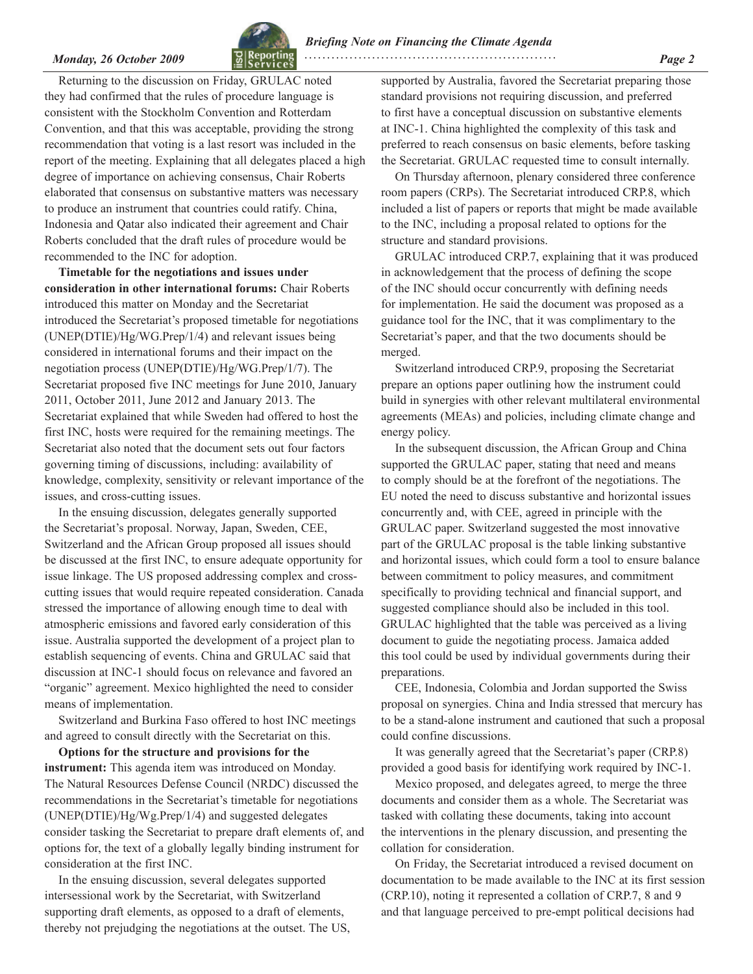

*Monday, 26 October 2009* **<b>***Page 2* **Page 2** *Page 2* 

Returning to the discussion on Friday, GRULAC noted they had confirmed that the rules of procedure language is consistent with the Stockholm Convention and Rotterdam Convention, and that this was acceptable, providing the strong recommendation that voting is a last resort was included in the report of the meeting. Explaining that all delegates placed a high degree of importance on achieving consensus, Chair Roberts elaborated that consensus on substantive matters was necessary to produce an instrument that countries could ratify. China, Indonesia and Qatar also indicated their agreement and Chair Roberts concluded that the draft rules of procedure would be recommended to the INC for adoption.

**Timetable for the negotiations and issues under consideration in other international forums:** Chair Roberts introduced this matter on Monday and the Secretariat introduced the Secretariat's proposed timetable for negotiations (UNEP(DTIE)/Hg/WG.Prep/1/4) and relevant issues being considered in international forums and their impact on the negotiation process (UNEP(DTIE)/Hg/WG.Prep/1/7). The Secretariat proposed five INC meetings for June 2010, January 2011, October 2011, June 2012 and January 2013. The Secretariat explained that while Sweden had offered to host the first INC, hosts were required for the remaining meetings. The Secretariat also noted that the document sets out four factors governing timing of discussions, including: availability of knowledge, complexity, sensitivity or relevant importance of the issues, and cross-cutting issues.

In the ensuing discussion, delegates generally supported the Secretariat's proposal. Norway, Japan, Sweden, CEE, Switzerland and the African Group proposed all issues should be discussed at the first INC, to ensure adequate opportunity for issue linkage. The US proposed addressing complex and crosscutting issues that would require repeated consideration. Canada stressed the importance of allowing enough time to deal with atmospheric emissions and favored early consideration of this issue. Australia supported the development of a project plan to establish sequencing of events. China and GRULAC said that discussion at INC-1 should focus on relevance and favored an "organic" agreement. Mexico highlighted the need to consider means of implementation.

Switzerland and Burkina Faso offered to host INC meetings and agreed to consult directly with the Secretariat on this.

**Options for the structure and provisions for the instrument:** This agenda item was introduced on Monday. The Natural Resources Defense Council (NRDC) discussed the recommendations in the Secretariat's timetable for negotiations (UNEP(DTIE)/Hg/Wg.Prep/1/4) and suggested delegates consider tasking the Secretariat to prepare draft elements of, and options for, the text of a globally legally binding instrument for consideration at the first INC.

In the ensuing discussion, several delegates supported intersessional work by the Secretariat, with Switzerland supporting draft elements, as opposed to a draft of elements, thereby not prejudging the negotiations at the outset. The US, supported by Australia, favored the Secretariat preparing those standard provisions not requiring discussion, and preferred to first have a conceptual discussion on substantive elements at INC-1. China highlighted the complexity of this task and preferred to reach consensus on basic elements, before tasking the Secretariat. GRULAC requested time to consult internally.

On Thursday afternoon, plenary considered three conference room papers (CRPs). The Secretariat introduced CRP.8, which included a list of papers or reports that might be made available to the INC, including a proposal related to options for the structure and standard provisions.

GRULAC introduced CRP.7, explaining that it was produced in acknowledgement that the process of defining the scope of the INC should occur concurrently with defining needs for implementation. He said the document was proposed as a guidance tool for the INC, that it was complimentary to the Secretariat's paper, and that the two documents should be merged.

Switzerland introduced CRP.9, proposing the Secretariat prepare an options paper outlining how the instrument could build in synergies with other relevant multilateral environmental agreements (MEAs) and policies, including climate change and energy policy.

In the subsequent discussion, the African Group and China supported the GRULAC paper, stating that need and means to comply should be at the forefront of the negotiations. The EU noted the need to discuss substantive and horizontal issues concurrently and, with CEE, agreed in principle with the GRULAC paper. Switzerland suggested the most innovative part of the GRULAC proposal is the table linking substantive and horizontal issues, which could form a tool to ensure balance between commitment to policy measures, and commitment specifically to providing technical and financial support, and suggested compliance should also be included in this tool. GRULAC highlighted that the table was perceived as a living document to guide the negotiating process. Jamaica added this tool could be used by individual governments during their preparations.

CEE, Indonesia, Colombia and Jordan supported the Swiss proposal on synergies. China and India stressed that mercury has to be a stand-alone instrument and cautioned that such a proposal could confine discussions.

It was generally agreed that the Secretariat's paper (CRP.8) provided a good basis for identifying work required by INC-1.

Mexico proposed, and delegates agreed, to merge the three documents and consider them as a whole. The Secretariat was tasked with collating these documents, taking into account the interventions in the plenary discussion, and presenting the collation for consideration.

On Friday, the Secretariat introduced a revised document on documentation to be made available to the INC at its first session (CRP.10), noting it represented a collation of CRP.7, 8 and 9 and that language perceived to pre-empt political decisions had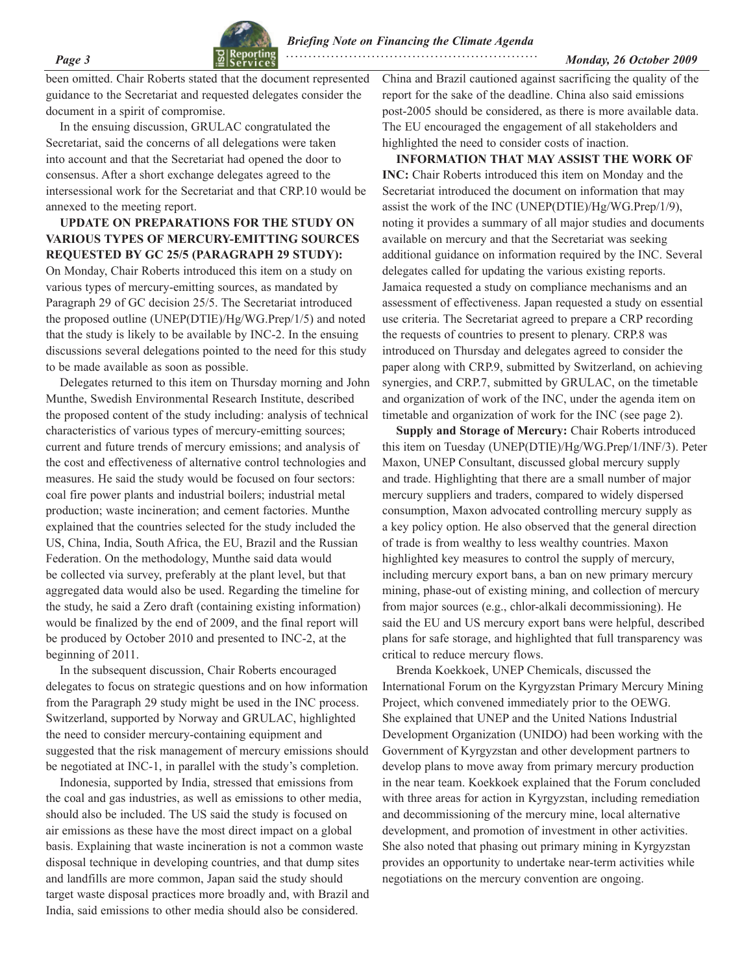

*Page 3 Monday, 26 October 2009*  **. . . . . . . . . . . . . . . . . . . . . . . . . . . . . . . . . . . . . . . . . . . . . . . . . . . . . . . .**

been omitted. Chair Roberts stated that the document represented guidance to the Secretariat and requested delegates consider the document in a spirit of compromise.

In the ensuing discussion, GRULAC congratulated the Secretariat, said the concerns of all delegations were taken into account and that the Secretariat had opened the door to consensus. After a short exchange delegates agreed to the intersessional work for the Secretariat and that CRP.10 would be annexed to the meeting report.

### **UPDATE ON PREPARATIONS FOR THE STUDY ON VARIOUS TYPES OF MERCURY-EMITTING SOURCES REQUESTED BY GC 25/5 (PARAGRAPH 29 STUDY):**

On Monday, Chair Roberts introduced this item on a study on various types of mercury-emitting sources, as mandated by Paragraph 29 of GC decision 25/5. The Secretariat introduced the proposed outline (UNEP(DTIE)/Hg/WG.Prep/1/5) and noted that the study is likely to be available by INC-2. In the ensuing discussions several delegations pointed to the need for this study to be made available as soon as possible.

Delegates returned to this item on Thursday morning and John Munthe, Swedish Environmental Research Institute, described the proposed content of the study including: analysis of technical characteristics of various types of mercury-emitting sources; current and future trends of mercury emissions; and analysis of the cost and effectiveness of alternative control technologies and measures. He said the study would be focused on four sectors: coal fire power plants and industrial boilers; industrial metal production; waste incineration; and cement factories. Munthe explained that the countries selected for the study included the US, China, India, South Africa, the EU, Brazil and the Russian Federation. On the methodology, Munthe said data would be collected via survey, preferably at the plant level, but that aggregated data would also be used. Regarding the timeline for the study, he said a Zero draft (containing existing information) would be finalized by the end of 2009, and the final report will be produced by October 2010 and presented to INC-2, at the beginning of 2011.

In the subsequent discussion, Chair Roberts encouraged delegates to focus on strategic questions and on how information from the Paragraph 29 study might be used in the INC process. Switzerland, supported by Norway and GRULAC, highlighted the need to consider mercury-containing equipment and suggested that the risk management of mercury emissions should be negotiated at INC-1, in parallel with the study's completion.

Indonesia, supported by India, stressed that emissions from the coal and gas industries, as well as emissions to other media, should also be included. The US said the study is focused on air emissions as these have the most direct impact on a global basis. Explaining that waste incineration is not a common waste disposal technique in developing countries, and that dump sites and landfills are more common, Japan said the study should target waste disposal practices more broadly and, with Brazil and India, said emissions to other media should also be considered.

China and Brazil cautioned against sacrificing the quality of the report for the sake of the deadline. China also said emissions post-2005 should be considered, as there is more available data. The EU encouraged the engagement of all stakeholders and highlighted the need to consider costs of inaction.

**INFORMATION THAT MAY ASSIST THE WORK OF INC:** Chair Roberts introduced this item on Monday and the Secretariat introduced the document on information that may assist the work of the INC (UNEP(DTIE)/Hg/WG.Prep/1/9), noting it provides a summary of all major studies and documents available on mercury and that the Secretariat was seeking additional guidance on information required by the INC. Several delegates called for updating the various existing reports. Jamaica requested a study on compliance mechanisms and an assessment of effectiveness. Japan requested a study on essential use criteria. The Secretariat agreed to prepare a CRP recording the requests of countries to present to plenary. CRP.8 was introduced on Thursday and delegates agreed to consider the paper along with CRP.9, submitted by Switzerland, on achieving synergies, and CRP.7, submitted by GRULAC, on the timetable and organization of work of the INC, under the agenda item on timetable and organization of work for the INC (see page 2).

**Supply and Storage of Mercury:** Chair Roberts introduced this item on Tuesday (UNEP(DTIE)/Hg/WG.Prep/1/INF/3). Peter Maxon, UNEP Consultant, discussed global mercury supply and trade. Highlighting that there are a small number of major mercury suppliers and traders, compared to widely dispersed consumption, Maxon advocated controlling mercury supply as a key policy option. He also observed that the general direction of trade is from wealthy to less wealthy countries. Maxon highlighted key measures to control the supply of mercury, including mercury export bans, a ban on new primary mercury mining, phase-out of existing mining, and collection of mercury from major sources (e.g., chlor-alkali decommissioning). He said the EU and US mercury export bans were helpful, described plans for safe storage, and highlighted that full transparency was critical to reduce mercury flows.

Brenda Koekkoek, UNEP Chemicals, discussed the International Forum on the Kyrgyzstan Primary Mercury Mining Project, which convened immediately prior to the OEWG. She explained that UNEP and the United Nations Industrial Development Organization (UNIDO) had been working with the Government of Kyrgyzstan and other development partners to develop plans to move away from primary mercury production in the near team. Koekkoek explained that the Forum concluded with three areas for action in Kyrgyzstan, including remediation and decommissioning of the mercury mine, local alternative development, and promotion of investment in other activities. She also noted that phasing out primary mining in Kyrgyzstan provides an opportunity to undertake near-term activities while negotiations on the mercury convention are ongoing.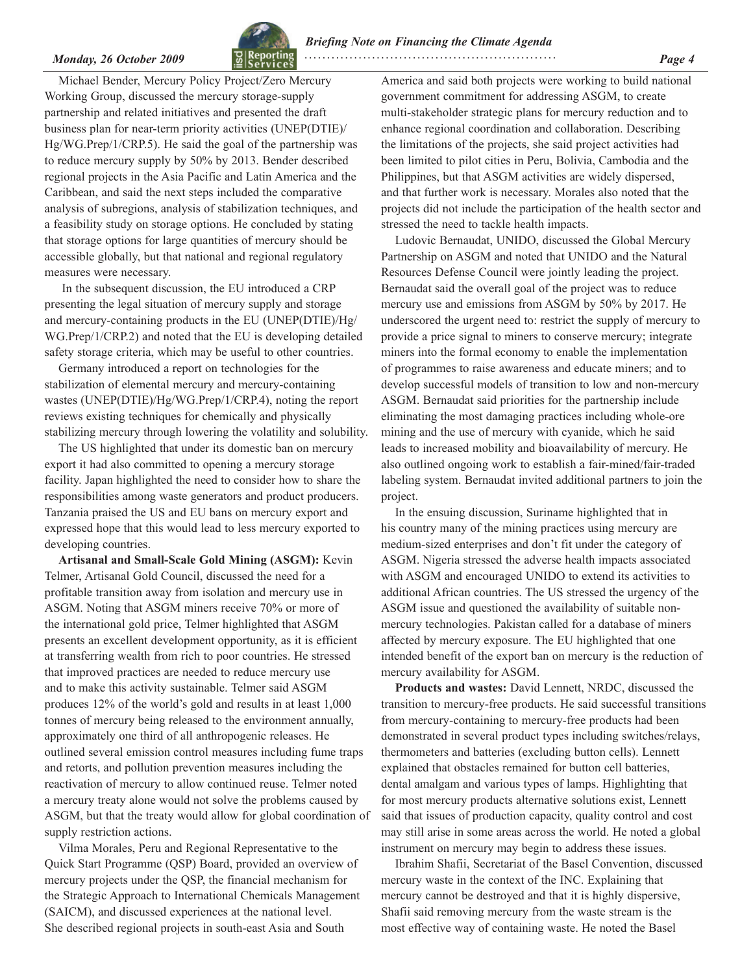

*Monday, 26 October 2009* **<b>***Page 4 Page 4 Page 4* 

Michael Bender, Mercury Policy Project/Zero Mercury Working Group, discussed the mercury storage-supply partnership and related initiatives and presented the draft business plan for near-term priority activities (UNEP(DTIE)/ Hg/WG.Prep/1/CRP.5). He said the goal of the partnership was to reduce mercury supply by 50% by 2013. Bender described regional projects in the Asia Pacific and Latin America and the Caribbean, and said the next steps included the comparative analysis of subregions, analysis of stabilization techniques, and a feasibility study on storage options. He concluded by stating that storage options for large quantities of mercury should be accessible globally, but that national and regional regulatory measures were necessary.

 In the subsequent discussion, the EU introduced a CRP presenting the legal situation of mercury supply and storage and mercury-containing products in the EU (UNEP(DTIE)/Hg/ WG.Prep/1/CRP.2) and noted that the EU is developing detailed safety storage criteria, which may be useful to other countries.

Germany introduced a report on technologies for the stabilization of elemental mercury and mercury-containing wastes (UNEP(DTIE)/Hg/WG.Prep/1/CRP.4), noting the report reviews existing techniques for chemically and physically stabilizing mercury through lowering the volatility and solubility.

The US highlighted that under its domestic ban on mercury export it had also committed to opening a mercury storage facility. Japan highlighted the need to consider how to share the responsibilities among waste generators and product producers. Tanzania praised the US and EU bans on mercury export and expressed hope that this would lead to less mercury exported to developing countries.

**Artisanal and Small-Scale Gold Mining (ASGM):** Kevin Telmer, Artisanal Gold Council, discussed the need for a profitable transition away from isolation and mercury use in ASGM. Noting that ASGM miners receive 70% or more of the international gold price, Telmer highlighted that ASGM presents an excellent development opportunity, as it is efficient at transferring wealth from rich to poor countries. He stressed that improved practices are needed to reduce mercury use and to make this activity sustainable. Telmer said ASGM produces 12% of the world's gold and results in at least 1,000 tonnes of mercury being released to the environment annually, approximately one third of all anthropogenic releases. He outlined several emission control measures including fume traps and retorts, and pollution prevention measures including the reactivation of mercury to allow continued reuse. Telmer noted a mercury treaty alone would not solve the problems caused by ASGM, but that the treaty would allow for global coordination of supply restriction actions.

Vilma Morales, Peru and Regional Representative to the Quick Start Programme (QSP) Board, provided an overview of mercury projects under the QSP, the financial mechanism for the Strategic Approach to International Chemicals Management (SAICM), and discussed experiences at the national level. She described regional projects in south-east Asia and South

America and said both projects were working to build national government commitment for addressing ASGM, to create multi-stakeholder strategic plans for mercury reduction and to enhance regional coordination and collaboration. Describing the limitations of the projects, she said project activities had been limited to pilot cities in Peru, Bolivia, Cambodia and the Philippines, but that ASGM activities are widely dispersed, and that further work is necessary. Morales also noted that the projects did not include the participation of the health sector and stressed the need to tackle health impacts.

Ludovic Bernaudat, UNIDO, discussed the Global Mercury Partnership on ASGM and noted that UNIDO and the Natural Resources Defense Council were jointly leading the project. Bernaudat said the overall goal of the project was to reduce mercury use and emissions from ASGM by 50% by 2017. He underscored the urgent need to: restrict the supply of mercury to provide a price signal to miners to conserve mercury; integrate miners into the formal economy to enable the implementation of programmes to raise awareness and educate miners; and to develop successful models of transition to low and non-mercury ASGM. Bernaudat said priorities for the partnership include eliminating the most damaging practices including whole-ore mining and the use of mercury with cyanide, which he said leads to increased mobility and bioavailability of mercury. He also outlined ongoing work to establish a fair-mined/fair-traded labeling system. Bernaudat invited additional partners to join the project.

In the ensuing discussion, Suriname highlighted that in his country many of the mining practices using mercury are medium-sized enterprises and don't fit under the category of ASGM. Nigeria stressed the adverse health impacts associated with ASGM and encouraged UNIDO to extend its activities to additional African countries. The US stressed the urgency of the ASGM issue and questioned the availability of suitable nonmercury technologies. Pakistan called for a database of miners affected by mercury exposure. The EU highlighted that one intended benefit of the export ban on mercury is the reduction of mercury availability for ASGM.

**Products and wastes:** David Lennett, NRDC, discussed the transition to mercury-free products. He said successful transitions from mercury-containing to mercury-free products had been demonstrated in several product types including switches/relays, thermometers and batteries (excluding button cells). Lennett explained that obstacles remained for button cell batteries, dental amalgam and various types of lamps. Highlighting that for most mercury products alternative solutions exist, Lennett said that issues of production capacity, quality control and cost may still arise in some areas across the world. He noted a global instrument on mercury may begin to address these issues.

Ibrahim Shafii, Secretariat of the Basel Convention, discussed mercury waste in the context of the INC. Explaining that mercury cannot be destroyed and that it is highly dispersive, Shafii said removing mercury from the waste stream is the most effective way of containing waste. He noted the Basel